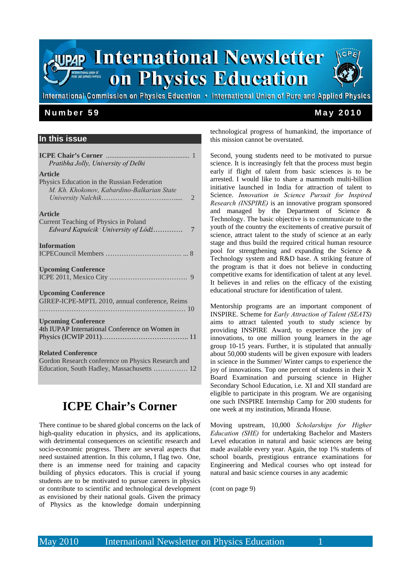

## **In this issue**

| Pratibha Jolly, University of Delhi                                                                                           |
|-------------------------------------------------------------------------------------------------------------------------------|
| <b>Article</b><br>Physics Education in the Russian Federation<br>M. Kh. Khokonov, Kabardino-Balkarian State<br>$\mathcal{L}$  |
| <b>Article</b><br>Current Teaching of Physics in Poland                                                                       |
| Edward Kapuścik <sup>,</sup> University of Lódź<br>7                                                                          |
| <b>Information</b>                                                                                                            |
| <b>Upcoming Conference</b>                                                                                                    |
| <b>Upcoming Conference</b><br>GIREP-ICPE-MPTL 2010, annual conference, Reims                                                  |
| <b>Upcoming Conference</b><br>4th IUPAP International Conference on Women in                                                  |
| <b>Related Conference</b><br>Gordon Research conference on Physics Research and<br>Education, South Hadley, Massachusetts  12 |

# **ICPE Chair's Corner**

There continue to be shared global concerns on the lack of high-quality education in physics, and its applications, with detrimental consequences on scientific research and socio-economic progress. There are several aspects that need sustained attention. In this column, I flag two. One, there is an immense need for training and capacity building of physics educators. This is crucial if young students are to be motivated to pursue careers in physics or contribute to scientific and technological development as envisioned by their national goals. Given the primacy of Physics as the knowledge domain underpinning

technological progress of humankind, the importance of this mission cannot be overstated.

Second, young students need to be motivated to pursue science. It is increasingly felt that the process must begin early if flight of talent from basic sciences is to be arrested. I would like to share a mammoth multi-billion initiative launched in India for attraction of talent to Science. *Innovation in Science Pursuit for Inspired Research (INSPIRE)* is an innovative program sponsored and managed by the Department of Science & Technology. The basic objective is to communicate to the youth of the country the excitements of creative pursuit of science, attract talent to the study of science at an early stage and thus build the required critical human resource pool for strengthening and expanding the Science & Technology system and R&D base. A striking feature of the program is that it does not believe in conducting competitive exams for identification of talent at any level. It believes in and relies on the efficacy of the existing educational structure for identification of talent.

Mentorship programs are an important component of INSPIRE. Scheme for *Early Attraction of Talent (SEATS)* aims to attract talented youth to study science by providing INSPIRE Award, to experience the joy of innovations, to one million young learners in the age group 10-15 years. Further, it is stipulated that annually about 50,000 students will be given exposure with leaders in science in the Summer/ Winter camps to experience the joy of innovations. Top one percent of students in their X Board Examination and pursuing science in Higher Secondary School Education, i.e. XI and XII standard are eligible to participate in this program. We are organising one such INSPIRE Internship Camp for 200 students for one week at my institution, Miranda House.

Moving upstream, 10,000 *Scholarships for Higher Education (SHE)* for undertaking Bachelor and Masters Level education in natural and basic sciences are being made available every year. Again, the top 1% students of school boards, prestigious entrance examinations for Engineering and Medical courses who opt instead for natural and basic science courses in any academic

(cont on page 9)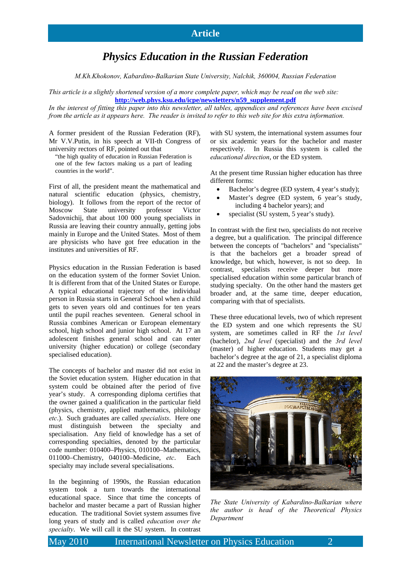# *Physics Education in the Russian Federation*

*M.Kh.Khokonov, Kabardino-Balkarian State University, Nalchik, 360004, Russian Federation* 

*This article is a slightly shortened version of a more complete paper, which may be read on the web site:*  **http://web.phys.ksu.edu/icpe/newsletters/n59\_supplement.pdf**

*In the interest of fitting this paper into this newsletter, all tables, appendices and references have been excised from the article as it appears here. The reader is invited to refer to this web site for this extra information.* 

A former president of the Russian Federation (RF), Mr V.V.Putin, in his speech at VII-th Congress of university rectors of RF, pointed out that

"the high quality of education in Russian Federation is one of the few factors making us a part of leading countries in the world".

First of all, the president meant the mathematical and natural scientific education (physics, chemistry, biology). It follows from the report of the rector of Moscow State university professor Victor Sadovnichij, that about 100 000 young specialists in Russia are leaving their country annually, getting jobs mainly in Europe and the United States. Most of them are physicists who have got free education in the institutes and universities of RF.

Physics education in the Russian Federation is based on the education system of the former Soviet Union. It is different from that of the United States or Europe. A typical educational trajectory of the individual person in Russia starts in General School when a child gets to seven years old and continues for ten years until the pupil reaches seventeen. General school in Russia combines American or European elementary school, high school and junior high school. At 17 an adolescent finishes general school and can enter university (higher education) or college (secondary specialised education).

The concepts of bachelor and master did not exist in the Soviet education system. Higher education in that system could be obtained after the period of five year's study. A corresponding diploma certifies that the owner gained a qualification in the particular field (physics, chemistry, applied mathematics, philology *etc*.). Such graduates are called *specialists*. Here one must distinguish between the specialty and specialisation. Any field of knowledge has a set of corresponding specialties, denoted by the particular code number: 010400–Physics, 010100–Mathematics, 011000–Chemistry, 040100–Medicine, *etc*. Each specialty may include several specialisations.

In the beginning of 1990s, the Russian education system took a turn towards the international educational space. Since that time the concepts of bachelor and master became a part of Russian higher education. The traditional Soviet system assumes five long years of study and is called *education over the specialty*. We will call it the SU system. In contrast

with SU system, the international system assumes four or six academic years for the bachelor and master respectively. In Russia this system is called the *educational direction*, or the ED system.

At the present time Russian higher education has three different forms:

- Bachelor's degree (ED system, 4 year's study);
- Master's degree (ED system, 6 year's study, including 4 bachelor years); and
- specialist (SU system, 5 year's study).

In contrast with the first two, specialists do not receive a degree, but a qualification. The principal difference between the concepts of "bachelors" and "specialists" is that the bachelors get a broader spread of knowledge, but which, however, is not so deep. In contrast, specialists receive deeper but more specialised education within some particular branch of studying specialty. On the other hand the masters get broader and, at the same time, deeper education, comparing with that of specialists.

These three educational levels, two of which represent the ED system and one which represents the SU system, are sometimes called in RF the *1st level* (bachelor), *2nd level* (specialist) and the *3rd level* (master) of higher education. Students may get a bachelor's degree at the age of 21, a specialist diploma at 22 and the master's degree at 23.



*The State University of Kabardino-Balkarian where the author is head of the Theoretical Physics Department*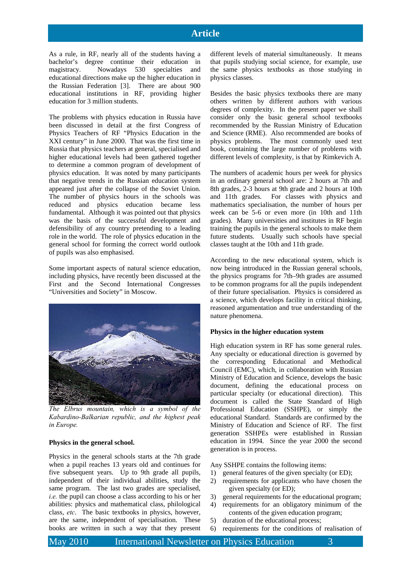## **Article**

As a rule, in RF, nearly all of the students having a bachelor's degree continue their education in magistracy. Nowadays 530 specialties and educational directions make up the higher education in the Russian Federation [3]. There are about 900 educational institutions in RF, providing higher education for 3 million students.

The problems with physics education in Russia have been discussed in detail at the first Congress of Physics Teachers of RF "Physics Education in the XXI century" in June 2000. That was the first time in Russia that physics teachers at general, specialised and higher educational levels had been gathered together to determine a common program of development of physics education. It was noted by many participants that negative trends in the Russian education system appeared just after the collapse of the Soviet Union. The number of physics hours in the schools was reduced and physics education became less fundamental. Although it was pointed out that physics was the basis of the successful development and defensibility of any country pretending to a leading role in the world. The role of physics education in the general school for forming the correct world outlook of pupils was also emphasised.

Some important aspects of natural science education, including physics, have recently been discussed at the First and the Second International Congresses "Universities and Society" in Moscow.



*The Elbrus mountain, which is a symbol of the Kabardino-Balkarian republic, and the highest peak in Europe.* 

## **Physics in the general school.**

Physics in the general schools starts at the 7th grade when a pupil reaches 13 years old and continues for five subsequent years. Up to 9th grade all pupils, independent of their individual abilities, study the same program. The last two grades are specialised, *i.e.* the pupil can choose a class according to his or her abilities: physics and mathematical class, philological class, *etc*. The basic textbooks in physics, however, are the same, independent of specialisation. These books are written in such a way that they present

different levels of material simultaneously. It means that pupils studying social science, for example, use the same physics textbooks as those studying in physics classes.

Besides the basic physics textbooks there are many others written by different authors with various degrees of complexity. In the present paper we shall consider only the basic general school textbooks recommended by the Russian Ministry of Education and Science (RME). Also recommended are books of physics problems. The most commonly used text book, containing the large number of problems with different levels of complexity, is that by Rimkevich A.

The numbers of academic hours per week for physics in an ordinary general school are: 2 hours at 7th and 8th grades, 2-3 hours at 9th grade and 2 hours at 10th and 11th grades. For classes with physics and mathematics specialisation, the number of hours per week can be 5-6 or even more (in 10th and 11th grades). Many universities and institutes in RF begin training the pupils in the general schools to make them future students. Usually such schools have special classes taught at the 10th and 11th grade.

According to the new educational system, which is now being introduced in the Russian general schools, the physics programs for 7th–9th grades are assumed to be common programs for all the pupils independent of their future specialisation. Physics is considered as a science, which develops facility in critical thinking, reasoned argumentation and true understanding of the nature phenomena.

## **Physics in the higher education system**

High education system in RF has some general rules. Any specialty or educational direction is governed by the corresponding Educational and Methodical Council (EMC), which, in collaboration with Russian Ministry of Education and Science, develops the basic document, defining the educational process on particular specialty (or educational direction). This document is called the State Standard of High Professional Education (SSHPE), or simply the educational Standard. Standards are confirmed by the Ministry of Education and Science of RF. The first generation SSHPEs were established in Russian education in 1994. Since the year 2000 the second generation is in process.

Any SSHPE contains the following items:

- 1) general features of the given specialty (or ED);
- 2) requirements for applicants who have chosen the given specialty (or ED);
- 3) general requirements for the educational program;
- 4) requirements for an obligatory minimum of the contents of the given education program;
- 5) duration of the educational process;
- 6) requirements for the conditions of realisation of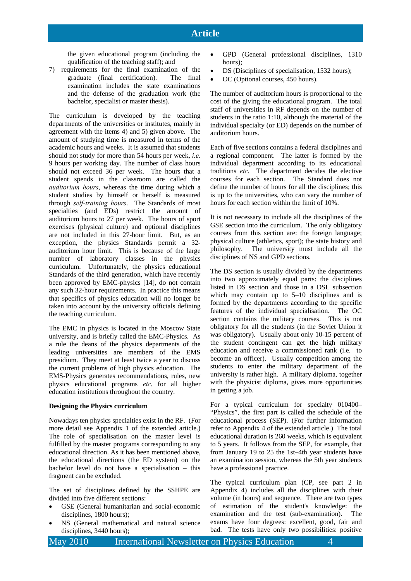the given educational program (including the qualification of the teaching staff); and

7) requirements for the final examination of the graduate (final certification). The final examination includes the state examinations and the defense of the graduation work (the bachelor, specialist or master thesis).

The curriculum is developed by the teaching departments of the universities or institutes, mainly in agreement with the items 4) and 5) given above. The amount of studying time is measured in terms of the academic hours and weeks. It is assumed that students should not study for more than 54 hours per week, *i.e.* 9 hours per working day. The number of class hours should not exceed 36 per week. The hours that a student spends in the classroom are called the *auditorium hours*, whereas the time during which a student studies by himself or herself is measured through *self-training hours*. The Standards of most specialties (and EDs) restrict the amount of auditorium hours to 27 per week. The hours of sport exercises (physical culture) and optional disciplines are not included in this 27-hour limit. But, as an exception, the physics Standards permit a 32 auditorium hour limit. This is because of the large number of laboratory classes in the physics curriculum. Unfortunately, the physics educational Standards of the third generation, which have recently been approved by EMC-physics [14], do not contain any such 32-hour requirements. In practice this means that specifics of physics education will no longer be taken into account by the university officials defining the teaching curriculum.

The EMC in physics is located in the Moscow State university, and is briefly called the EMC-Physics. As a rule the deans of the physics departments of the leading universities are members of the EMS presidium. They meet at least twice a year to discuss the current problems of high physics education. The EMS-Physics generates recommendations, rules, new physics educational programs *etc*. for all higher education institutions throughout the country.

#### **Designing the Physics curriculum**

Nowadays ten physics specialties exist in the RF. (For more detail see Appendix 1 of the extended article.) The role of specialisation on the master level is fulfilled by the master programs corresponding to any educational direction. As it has been mentioned above, the educational directions (the ED system) on the bachelor level do not have a specialisation – this fragment can be excluded.

The set of disciplines defined by the SSHPE are divided into five different sections:

- GSE (General humanitarian and social-economic disciplines, 1800 hours);
- NS (General mathematical and natural science disciplines, 3440 hours);
- GPD (General professional disciplines, 1310 hours).
- DS (Disciplines of specialisation, 1532 hours);
- OC (Optional courses, 450 hours).

The number of auditorium hours is proportional to the cost of the giving the educational program. The total staff of universities in RF depends on the number of students in the ratio 1:10, although the material of the individual specialty (or ED) depends on the number of auditorium hours.

Each of five sections contains a federal disciplines and a regional component. The latter is formed by the individual department according to its educational traditions *etc*. The department decides the elective courses for each section. The Standard does not define the number of hours for all the disciplines; this is up to the universities, who can vary the number of hours for each section within the limit of 10%.

It is not necessary to include all the disciplines of the GSE section into the curriculum. The only obligatory courses from this section are: the foreign language; physical culture (athletics, sport); the state history and philosophy. The university must include all the disciplines of NS and GPD sections.

The DS section is usually divided by the departments into two approximately equal parts: the disciplines listed in DS section and those in a DSL subsection which may contain up to 5–10 disciplines and is formed by the departments according to the specific features of the individual specialisation. The OC section contains the military courses. This is not obligatory for all the students (in the Soviet Union it was obligatory). Usually about only 10-15 percent of the student contingent can get the high military education and receive a commissioned rank (i.e. to become an officer). Usually competition among the students to enter the military department of the university is rather high. A military diploma, together with the physicist diploma, gives more opportunities in getting a job.

For a typical curriculum for specialty 010400– "Physics", the first part is called the schedule of the educational process (SEP). (For further information refer to Appendix 4 of the extended article.) The total educational duration is 260 weeks, which is equivalent to 5 years. It follows from the SEP, for example, that from January 19 to 25 the 1st–4th year students have an examination session, whereas the 5th year students have a professional practice.

The typical curriculum plan (CP, see part 2 in Appendix 4) includes all the disciplines with their volume (in hours) and sequence. There are two types of estimation of the student's knowledge: the examination and the test (sub-examination). The exams have four degrees: excellent, good, fair and bad. The tests have only two possibilities: positive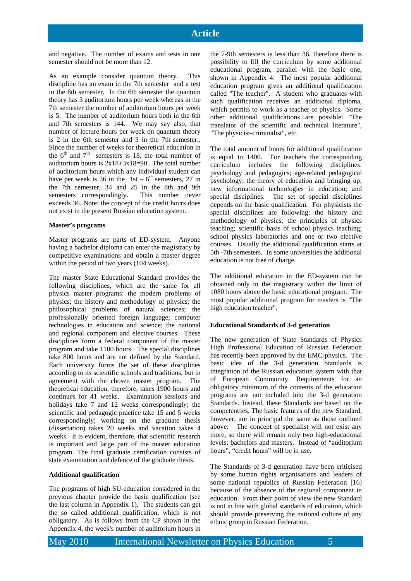and negative. The number of exams and tests in one semester should not be more than 12.

As an example consider quantum theory. This discipline has an exam in the 7th semester and a test in the 6th semester. In the 6th semester the quantum theory has 3 auditorium hours per week whereas in the 7th semester the number of auditorium hours per week is 5. The number of auditorium hours both in the 6th and 7th semesters is 144. We may say also, that number of lecture hours per week on quantum theory is 2 in the 6th semester and 3 in the 7th semester,. Since the number of weeks for theoretical education in the  $6<sup>th</sup>$  and  $7<sup>th</sup>$  semesters is 18, the total number of auditorium hours is  $2x18+3x18=90$ . The total number of auditorium hours which any individual student can have per week is 36 in the 1st –  $6<sup>th</sup>$  semesters, 27 in the 7th semester, 34 and 25 in the 8th and 9th semesters correspondingly. This number never exceeds 36. Note: the concept of the credit hours does not exist in the present Russian education system.

#### **Master's programs**

Master programs are parts of ED-system. Anyone having a bachelor diploma can enter the magistracy by competitive examinations and obtain a master degree within the period of two years (104 weeks).

The master State Educational Standard provides the following disciplines, which are the same for all physics master programs: the modern problems of physics; the history and methodology of physics; the philosophical problems of natural sciences; the professionally oriented foreign language; computer technologies in education and science; the national and regional component and elective courses. These disciplines form a federal component of the master program and take 1100 hours. The special disciplines take 800 hours and are not defined by the Standard. Each university forms the set of these disciplines according to its scientific schools and traditions, but in agreement with the chosen master program. The theoretical education, therefore, takes 1900 hours and continues for 41 weeks. Examination sessions and holidays take 7 and 12 weeks correspondingly; the scientific and pedagogic practice take 15 and 5 weeks correspondingly; working on the graduate thesis (dissertation) takes 20 weeks and vacation takes 4 weeks. It is evident, therefore, that scientific research is important and large part of the master education program. The final graduate certification consists of state examination and defence of the graduate thesis.

## **Additional qualification**

The programs of high SU-education considered in the previous chapter provide the basic qualification (see the last column in Appendix 1). The students can get the so called additional qualification, which is not obligatory. As is follows from the CP shown in the Appendix 4, the week's number of auditorium hours in

the 7-9th semesters is less than 36, therefore there is possibility to fill the curriculum by some additional educational program, parallel with the basic one, shown in Appendix 4. The most popular additional education program gives an additional qualification called "The teacher". A student who graduates with such qualification receives an additional diploma, which permits to work as a teacher of physics. Some other additional qualifications are possible: "The translator of the scientific and technical literature", "The physicist-criminalist", etc.

The total amount of hours for additional qualification is equal to 1400. For teachers the corresponding curriculum includes the following disciplines: psychology and pedagogics; age-related pedagogical psychology; the theory of education and bringing up; new informational technologies in education; and special disciplines. The set of special disciplines depends on the basic qualification. For physicists the special disciplines are following: the history and methodology of physics; the principles of physics teaching; scientific basis of school physics teaching; school physics laboratories and one or two elective courses. Usually the additional qualification starts at 5th -7th semesters. In some universities the additional education is not free of charge.

The additional education in the ED-system can be obtained only in the magistracy within the limit of 1080 hours above the basic educational program. The most popular additional program for masters is "The high education teacher".

#### **Educational Standards of 3-d generation**

The new generation of State Standards of Physics High Professional Education of Russian Federation has recently been approved by the EMC-physics. The basic idea of the 3-d generation Standards is integration of the Russian education system with that of European Community. Requirements for an obligatory minimum of the contents of the education programs are not included into the 3-d generation Standards. Instead, these Standards are based on the competencies. The basic features of the new Standard, however, are in principal the same as those outlined above. The concept of specialist will not exist any more, so there will remain only two high-educational levels: bachelors and masters. Instead of "auditorium hours", "credit hours" will be in use.

The Standards of 3-d generation have been criticised by some human rights organisations and leaders of some national republics of Russian Federation [16] because of the absence of the regional component in education. From their point of view the new Standard is not in line with global standards of education, which should provide preserving the national culture of any ethnic group in Russian Federation.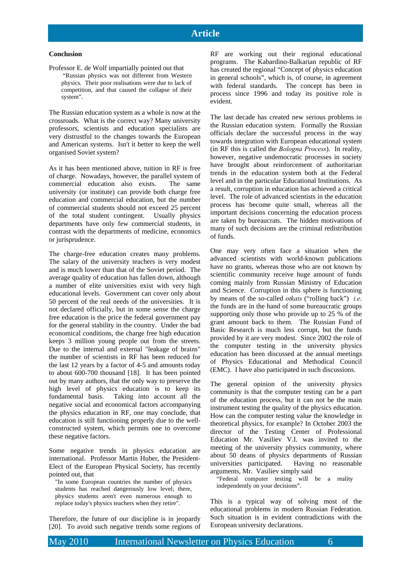#### **Conclusion**

Professor E. de Wolf impartially pointed out that

 "Russian physics was not different from Western physics. Their poor realisations were due to lack of competition, and that caused the collapse of their system".

The Russian education system as a whole is now at the crossroads. What is the correct way? Many university professors, scientists and education specialists are very distrustful to the changes towards the European and American systems. Isn't it better to keep the well organised Soviet system?

As it has been mentioned above, tuition in RF is free of charge. Nowadays, however, the parallel system of commercial education also exists. The same university (or institute) can provide both charge free education and commercial education, but the number of commercial students should not exceed 25 percent of the total student contingent. Usually physics departments have only few commercial students, in contrast with the departments of medicine, economics or jurisprudence.

The charge-free education creates many problems. The salary of the university teachers is very modest and is much lower than that of the Soviet period. The average quality of education has fallen down, although a number of elite universities exist with very high educational levels. Government can cover only about 50 percent of the real needs of the universities. It is not declared officially, but in some sense the charge free education is the price the federal government pay for the general stability in the country. Under the bad economical conditions, the charge free high education keeps 3 million young people out from the streets. Due to the internal and external "leakage of brains" the number of scientists in RF has been reduced for the last 12 years by a factor of 4-5 and amounts today to about 600-700 thousand [18]. It has been pointed out by many authors, that the only way to preserve the high level of physics education is to keep its fundamental basis. Taking into account all the negative social and economical factors accompanying the physics education in RF, one may conclude, that education is still functioning properly due to the wellconstructed system, which permits one to overcome these negative factors.

Some negative trends in physics education are international. Professor Martin Huber, the President-Elect of the European Physical Society, has recently pointed out, that

"In some European countries the number of physics students has reached dangerously low level; there, physics students aren't even numerous enough to replace today's physics teachers when they retire".

Therefore, the future of our discipline is in jeopardy [20]. To avoid such negative trends some regions of RF are working out their regional educational programs. The Kabardino-Balkarian republic of RF has created the regional "Concept of physics education in general schools", which is, of course, in agreement with federal standards. The concept has been in process since 1996 and today its positive role is evident.

The last decade has created new serious problems in the Russian education system. Formally the Russian officials declare the successful process in the way towards integration with European educational system (in RF this is called the *Bologna Process*). In reality, however, negative undemocratic processes in society have brought about reinforcement of authoritarian trends in the education system both at the Federal level and in the particular Educational Institutions. As a result, corruption in education has achieved a critical level. The role of advanced scientists in the education process has become quite small, whereas all the important decisions concerning the education process are taken by bureaucrats. The hidden motivations of many of such decisions are the criminal redistribution of funds.

One may very often face a situation when the advanced scientists with world-known publications have no grants, whereas those who are not known by scientific community receive huge amount of funds coming mainly from Russian Ministry of Education and Science. Corruption in this sphere is functioning by means of the so-called *otkats* ("rolling back") *i.e*. the funds are in the hand of some bureaucratic groups supporting only those who provide up to 25 % of the grant amount back to them. The Russian Fund of Basic Research is much less corrupt, but the funds provided by it are very modest. Since 2002 the role of the computer testing in the university physics education has been discussed at the annual meetings of Physics Educational and Methodical Council (EMC). I have also participated in such discussions.

The general opinion of the university physics community is that the computer testing can be a part of the education process, but it can not be the main instrument testing the quality of the physics education. How can the computer testing value the knowledge in theoretical physics, for example? In October 2003 the director of the Testing Center of Professional Education Mr. Vasiliev V.I. was invited to the meeting of the university physics community, where about 50 deans of physics departments of Russian universities participated. Having no reasonable arguments, Mr. Vasiliev simply said

"Federal computer testing will be a reality independently on your decisions".

This is a typical way of solving most of the educational problems in modern Russian Federation. Such situation is in evident contradictions with the European university declarations.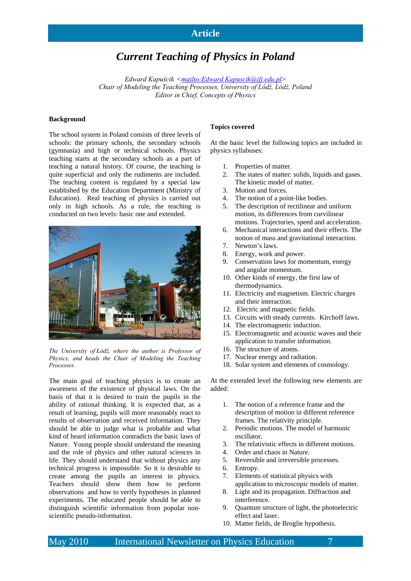## **Article**

# *Current Teaching of Physics in Poland*

*Edward Kapuścik <mailto:Edward.Kapuscik@ifj.edu.pl> Chair of Modeling the Teaching Processes, University of Lódź, Lódź, Poland Editor in Chief, Concepts of Physics*

## **Background**

The school system in Poland consists of three levels of schools: the primary schools, the secondary schools (gymnasia) and high or technical schools. Physics teaching starts at the secondary schools as a part of teaching a natural history. Of course, the teaching is quite superficial and only the rudiments are included. The teaching content is regulated by a special law established by the Education Department (Ministry of Education). Real teaching of physics is carried out only in high schools. As a rule, the teaching is conducted on two levels: basic one and extended.



*The University of Łódź, where the author is Professor of Physics, and heads the Chair of Modeling the Teaching Processes.* 

The main goal of teaching physics is to create an awareness of the existence of physical laws. On the basis of that it is desired to train the pupils in the ability of rational thinking. It is expected that, as a result of learning, pupils will more reasonably react to results of observation and received information. They should be able to judge what is probable and what kind of heard information contradicts the basic laws of Nature. Young people should understand the meaning and the role of physics and other natural sciences in life. They should understand that without physics any technical progress is impossible. So it is desirable to create among the pupils an interest in physics. Teachers should show them how to perform observations and how to verify hypotheses in planned experiments. The educated people should be able to distinguish scientific information from popular nonscientific pseudo-information.

#### **Topics covered**

At the basic level the following topics are included in physics syllabuses:

- 1. Properties of matter.
- 2. The states of matter: solids, liquids and gases. The kinetic model of matter.
- 3. Motion and forces.
- 4. The notion of a point-like bodies.
- 5. The description of rectilinear and uniform motion, its differences from curvilinear motions. Trajectories, speed and acceleration.
- 6. Mechanical interactions and their effects. The notion of mass and gravitational interaction.
- 7. Newton's laws.
- 8. Energy, work and power.
- 9. Conservation laws for momentum, energy and angular momentum.
- 10. Other kinds of energy, the first law of thermodynamics.
- 11. Electricity and magnetism. Electric charges and their interaction.
- 12. Electric and magnetic fields.
- 13. Circuits with steady currents. Kirchoff laws.
- 14. The electromagnetic induction.
- 15. Electromagnetic and acoustic waves and their application to transfer information.
- 16. The structure of atoms.
- 17. Nuclear energy and radiation.
- 18. Solar system and elements of cosmology.

At the extended level the following new elements are added:

- 1. The notion of a reference frame and the description of motion in different reference frames. The relativity principle.
- 2. Periodic motions. The model of harmonic oscillator.
- 3. The relativistic effects in different motions.
- 4. Order and chaos in Nature.
- 5. Reversible and irreversible processes.<br>6. Entropy.
- 
- 6. Entropy.<br>7. Elements 7. Elements of statistical physics with
- application to microscopic models of matter. 8. Light and its propagation. Diffraction and interference.
- 9. Quantum structure of light, the photoelectric effect and laser.
- 10. Matter fields, de Broglie hypothesis.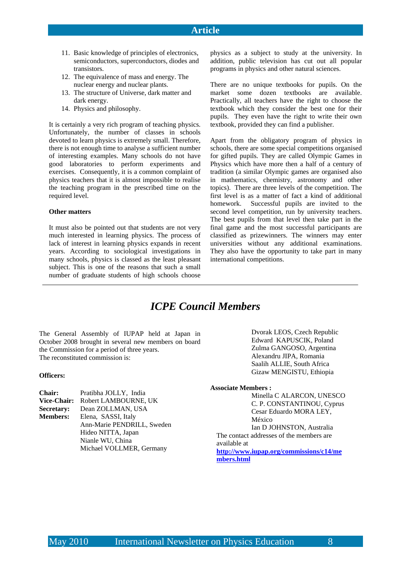- 11. Basic knowledge of principles of electronics, semiconductors, superconductors, diodes and transistors.
- 12. The equivalence of mass and energy. The nuclear energy and nuclear plants.
- 13. The structure of Universe, dark matter and dark energy.
- 14. Physics and philosophy.

It is certainly a very rich program of teaching physics. Unfortunately, the number of classes in schools devoted to learn physics is extremely small. Therefore, there is not enough time to analyse a sufficient number of interesting examples. Many schools do not have good laboratories to perform experiments and exercises. Consequently, it is a common complaint of physics teachers that it is almost impossible to realise the teaching program in the prescribed time on the required level.

## **Other matters**

It must also be pointed out that students are not very much interested in learning physics. The process of lack of interest in learning physics expands in recent years. According to sociological investigations in many schools, physics is classed as the least pleasant subject. This is one of the reasons that such a small number of graduate students of high schools choose

physics as a subject to study at the university. In addition, public television has cut out all popular programs in physics and other natural sciences.

There are no unique textbooks for pupils. On the market some dozen textbooks are available. Practically, all teachers have the right to choose the textbook which they consider the best one for their pupils. They even have the right to write their own textbook, provided they can find a publisher.

Apart from the obligatory program of physics in schools, there are some special competitions organised for gifted pupils. They are called Olympic Games in Physics which have more then a half of a century of tradition (a similar Olympic games are organised also in mathematics, chemistry, astronomy and other topics). There are three levels of the competition. The first level is as a matter of fact a kind of additional homework. Successful pupils are invited to the second level competition, run by university teachers. The best pupils from that level then take part in the final game and the most successful participants are classified as prizewinners. The winners may enter universities without any additional examinations. They also have the opportunity to take part in many international competitions.

# *ICPE Council Members*

The General Assembly of IUPAP held at Japan in October 2008 brought in several new members on board the Commission for a period of three years. The reconstituted commission is:

#### **Officers:**

| <b>Chair:</b>      | Pratibha JOLLY, India      |
|--------------------|----------------------------|
| <b>Vice-Chair:</b> | Robert LAMBOURNE, UK       |
| <b>Secretary:</b>  | Dean ZOLLMAN, USA          |
| <b>Members:</b>    | Elena, SASSI, Italy        |
|                    | Ann-Marie PENDRILL, Sweden |
|                    | Hideo NITTA, Japan         |
|                    | Nianle WU, China           |
|                    | Michael VOLLMER, Germany   |

Dvorak LEOS, Czech Republic Edward KAPUSCIK, Poland Zulma GANGOSO, Argentina Alexandru JIPA, Romania Saalih ALLIE, South Africa Gizaw MENGISTU, Ethiopia

## **Associate Members :**

Minella C ALARCON, UNESCO C. P. CONSTANTINOU, Cyprus Cesar Eduardo MORA LEY, México

Ian D JOHNSTON, Australia The contact addresses of the members are

available at **http://www.iupap.org/commissions/c14/me**

**mbers.html**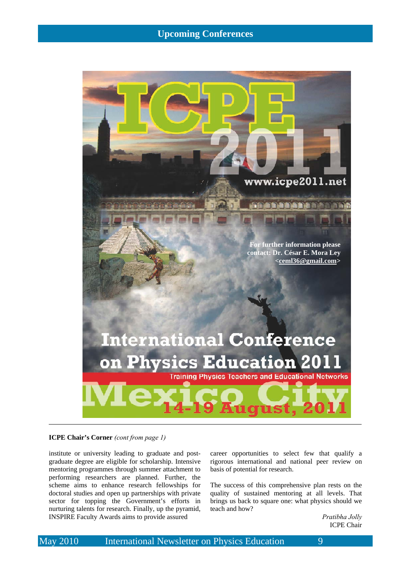## **Upcoming Conferences**



## **ICPE Chair's Corner** *(cont from page 1)*

institute or university leading to graduate and postgraduate degree are eligible for scholarship. Intensive mentoring programmes through summer attachment to performing researchers are planned. Further, the scheme aims to enhance research fellowships for doctoral studies and open up partnerships with private sector for topping the Government's efforts in nurturing talents for research. Finally, up the pyramid, INSPIRE Faculty Awards aims to provide assured

career opportunities to select few that qualify a rigorous international and national peer review on basis of potential for research.

The success of this comprehensive plan rests on the quality of sustained mentoring at all levels. That brings us back to square one: what physics should we teach and how?

> *Pratibha Jolly*  ICPE Chair

May 2010 International Newsletter on Physics Education 9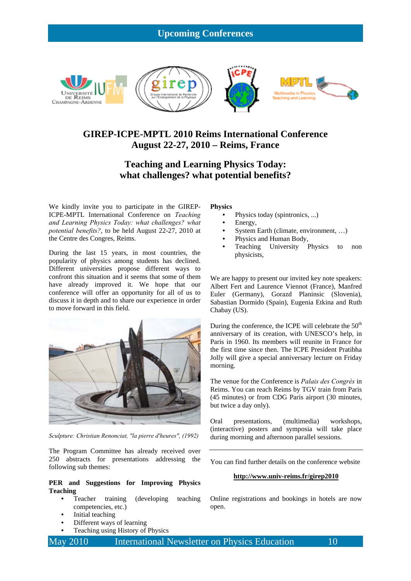## **Upcoming Conferences**



## **GIREP-ICPE-MPTL 2010 Reims International Conference August 22-27, 2010 – Reims, France**

## **Teaching and Learning Physics Today: what challenges? what potential benefits?**

We kindly invite you to participate in the GIREP-ICPE-MPTL International Conference on *Teaching and Learning Physics Today: what challenges? what potential benefits?*, to be held August 22-27, 2010 at the Centre des Congres, Reims.

During the last 15 years, in most countries, the popularity of physics among students has declined. Different universities propose different ways to confront this situation and it seems that some of them have already improved it. We hope that our conference will offer an opportunity for all of us to discuss it in depth and to share our experience in order to move forward in this field.



*Sculpture: Christian Renonciat, "la pierre d'heures", (1992)* 

The Program Committee has already received over 250 abstracts for presentations addressing the following sub themes:

## **PER and Suggestions for Improving Physics Teaching**

- Teacher training (developing teaching competencies, etc.)
- Initial teaching
- Different ways of learning
- Teaching using History of Physics

## **Physics**

- Physics today (spintronics, ...)
- Energy,
- System Earth (climate, environment, …)
- Physics and Human Body,
- Teaching University Physics to non physicists,

We are happy to present our invited key note speakers: Albert Fert and Laurence Viennot (France), Manfred Euler (Germany), Gorazd Planinsic (Slovenia), Sabastian Dormido (Spain), Eugenia Etkina and Ruth Chabay (US).

During the conference, the ICPE will celebrate the  $50<sup>th</sup>$ anniversary of its creation, with UNESCO's help, in Paris in 1960. Its members will reunite in France for the first time since then. The ICPE President Pratibha Jolly will give a special anniversary lecture on Friday morning.

The venue for the Conference is *Palais des Congrès* in Reims. You can reach Reims by TGV train from Paris (45 minutes) or from CDG Paris airport (30 minutes, but twice a day only).

Oral presentations, (multimedia) workshops, (interactive) posters and symposia will take place during morning and afternoon parallel sessions.

You can find further details on the conference website

#### **http://www.univ-reims.fr/girep2010**

Online registrations and bookings in hotels are now open.

May 2010 International Newsletter on Physics Education 10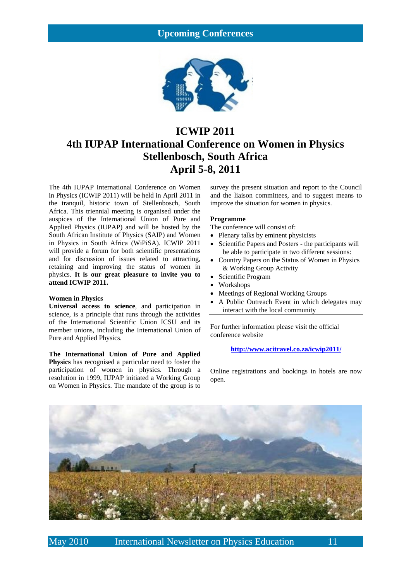## **Upcoming Conferences**



# **ICWIP 2011 4th IUPAP International Conference on Women in Physics Stellenbosch, South Africa April 5-8, 2011**

The 4th IUPAP International Conference on Women in Physics (ICWIP 2011) will be held in April 2011 in the tranquil, historic town of Stellenbosch, South Africa. This triennial meeting is organised under the auspices of the International Union of Pure and Applied Physics (IUPAP) and will be hosted by the South African Institute of Physics (SAIP) and Women in Physics in South Africa (WiPiSA). ICWIP 2011 will provide a forum for both scientific presentations and for discussion of issues related to attracting, retaining and improving the status of women in physics. **It is our great pleasure to invite you to attend ICWIP 2011.**

## **Women in Physics**

**Universal access to science**, and participation in science, is a principle that runs through the activities of the International Scientific Union ICSU and its member unions, including the International Union of Pure and Applied Physics.

**The International Union of Pure and Applied Physics** has recognised a particular need to foster the participation of women in physics. Through a resolution in 1999, IUPAP initiated a Working Group on Women in Physics. The mandate of the group is to

survey the present situation and report to the Council and the liaison committees, and to suggest means to improve the situation for women in physics.

## **Programme**

The conference will consist of:

- Plenary talks by eminent physicists
- Scientific Papers and Posters the participants will be able to participate in two different sessions:
- Country Papers on the Status of Women in Physics & Working Group Activity
- Scientific Program
- Workshops
- Meetings of Regional Working Groups
- A Public Outreach Event in which delegates may interact with the local community

For further information please visit the official conference website

**http://www.acitravel.co.za/icwip2011/**

Online registrations and bookings in hotels are now open.